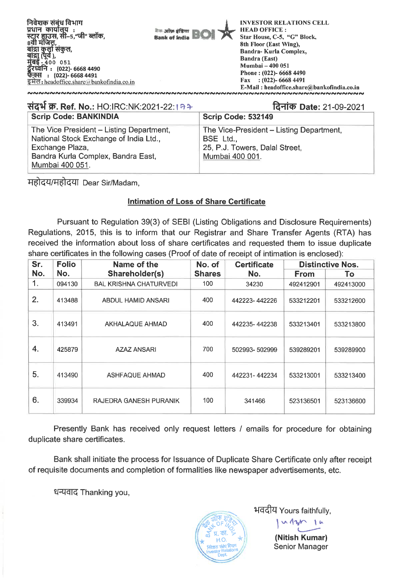

#### **itlf W. Ref. No.: HO:IRC:NK:2021-22: R\* 14-iict) Date: 21-09-2021 Scrip Code: BANKINDIA Scrip Code: 532149** The Vice President - Listing Department, National Stock Exchange of India Ltd., Exchange Plaza, Bandra Kurla Complex, Bandra East, Mumbai 400 051. The Vice-President - Listing Department, BSE Ltd., 25, **P.J.** Towers, Dalal Street, Mumbai 400 001.

महोदय/महोदया Dear Sir/Madam,

# **Intimation of Loss of Share Certificate**

Pursuant to Regulation 39(3) of SEBI (Listing Obligations and Disclosure Requirements) Regulations, 2015, this is to inform that our Registrar and Share Transfer Agents (RTA) has received the information about loss of share certificates and requested them to issue duplicate share certificates in the following cases (Proof of date of receipt of intimation is enclosed):

| Sr. | <b>Folio</b> | Name of the                   | No. of        | <b>Certificate</b> |             | <b>Distinctive Nos.</b> |
|-----|--------------|-------------------------------|---------------|--------------------|-------------|-------------------------|
| No. | No.          | Shareholder(s)                | <b>Shares</b> | No.                | <b>From</b> | To                      |
| 1.  | 094130       | <b>BAL KRISHNA CHATURVEDI</b> | 100           | 34230              | 492412901   | 492413000               |
| 2.  | 413488       | ABDUL HAMID ANSARI            | 400           | 442223-442226      | 533212201   | 533212600               |
| 3.  | 413491       | AKHALAQUE AHMAD               | 400           | 442235-442238      | 533213401   | 533213800               |
| 4.  | 425879       | <b>AZAZ ANSARI</b>            | 700           | 502993-502999      | 539289201   | 539289900               |
| 5.  | 413490       | <b>ASHFAQUE AHMAD</b>         | 400           | 442231-442234      | 533213001   | 533213400               |
| 6.  | 339934       | RAJEDRA GANESH PURANIK        | 100           | 341466             | 523136501   | 523136600               |

Presently Bank has received only request letters / emails for procedure for obtaining duplicate share certificates.

Bank shall initiate the process for Issuance of Duplicate Share Certificate only after receipt of requisite documents and completion of formalities like newspaper advertisements, etc.

धन्यवाद Thanking you,



भवदीय Yours faithfully,

**(Nitish Kumar)**  Senior Manager

 $\Lambda$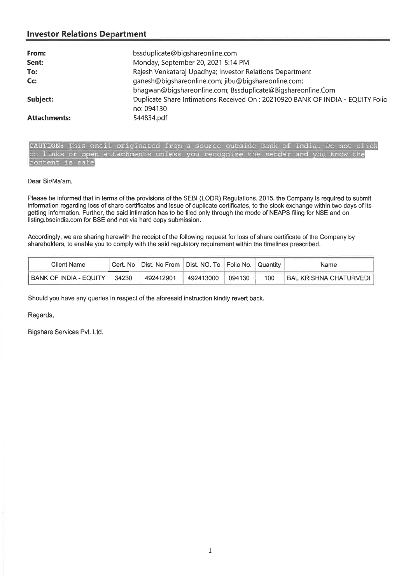| From:               | bssduplicate@bigshareonline.com                                                |
|---------------------|--------------------------------------------------------------------------------|
| Sent:               | Monday, September 20, 2021 5:14 PM                                             |
| To:                 | Rajesh Venkataraj Upadhya; Investor Relations Department                       |
| $CC$ :              | ganesh@bigshareonline.com; jibu@bigshareonline.com;                            |
|                     | bhagwan@bigshareonline.com; Bssduplicate@Bigshareonline.Com                    |
| Subject:            | Duplicate Share Intimations Received On: 20210920 BANK OF INDIA - EQUITY Folio |
|                     | no: 094130                                                                     |
| <b>Attachments:</b> | 544834.pdf                                                                     |

**CAUTION:** This email originated from a source outside Bank Of India. Do not click on links or open attachments unless you recognize the sender and you know the content is safe

#### Dear Sir/Ma'am,

Please be informed that in terms of the provisions of the SEBI (LODR) Regulations, 2015, the Company is required to submit information regarding loss of share certificates and issue of duplicate certificates, to the stock exchange within two days of its getting information. Further, the said intimation has to be filed only through the mode of NEAPS filing for NSE and on listing.bseindia.com for BSE and not via hard copy submission.

Accordingly, we are sharing herewith the receipt of the following request for loss of share certificate of the Company by shareholders, to enable you to comply with the said regulatory requirement within the timelines prescribed.

| Client Name                | Cert. No | Dist. No From    Dist. NO. To    Folio No. |           |        | Quantity | Name                   |
|----------------------------|----------|--------------------------------------------|-----------|--------|----------|------------------------|
| I BANK OF INDIA - EQUITY I | 34230    | 492412901                                  | 492413000 | 094130 | 100      | BAL KRISHNA CHATURVEDI |

Should you have any queries in respect of the aforesaid instruction kindly revert back.

Regards,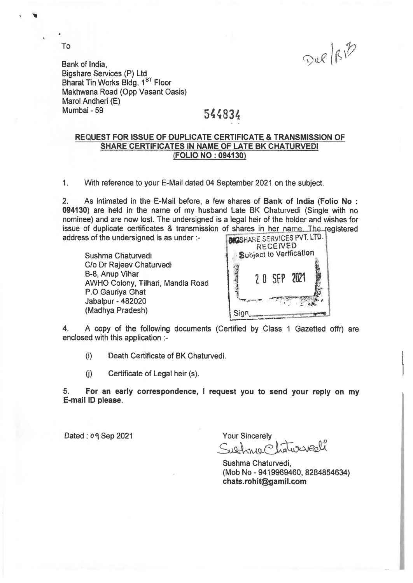Dup/BB

Bank of India, Bigshare Services (P) Ltd Bharat Tin Works Bldg, 1<sup>ST</sup> Floor Makhwana Road (Opp Vasant Oasis) Marol Andheri (E) Mumbai - 59 544834

To

## **REQUEST FOR ISSUE OF DUPLICATE CERTIFICATE & TRANSMISSION OF SHARE CERTIFICATES IN NAME OF LATE BK CHATURVEDI (FOLIO NO : 094130)**

1. With reference to your E-Mail dated 04 September 2021 on the subject.

2. As intimated in the E-Mail before, a few shares of **Bank of India (Folio No : 094130)** are held in the name of my husband Late BK Chaturvedi (Single with no nominee) and are now lost. The undersigned is a legal heir of the holder and wishes for issue of duplicate certificates & transmission of shares in her name. The registered address of the undersigned is as under :-

Sushma Chaturvedi C/o Dr Rajeev Chaturvedi B-8, Anup Vihar AWHO Colony, Tilhari, Mandla Road P.O Gauriya Ghat Jabalpur - 482020 (Madhya Pradesh)



4. A copy of the following documents (Certified by Class 1 Gazetted offr) are enclosed with this application :-

(I) Death Certificate of BK Chaturvedi.

(j) Certificate of Legal heir (s).

**5. For an early correspondence, I request you to send your reply on my E-mail ID please.** 

Dated : 09 Sep 2021 Your Sincerely

Sietnin Platuraicall

Sushma Chaturvedi, (Mob No - 9419969460, 8284854634) **chats.rohit@gamilcom**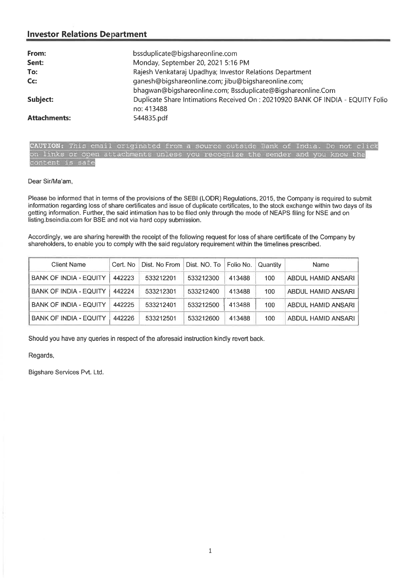| From:               | bssduplicate@bigshareonline.com                                                              |
|---------------------|----------------------------------------------------------------------------------------------|
| Sent:               | Monday, September 20, 2021 5:16 PM                                                           |
| To:                 | Rajesh Venkataraj Upadhya; Investor Relations Department                                     |
| Cc:                 | ganesh@bigshareonline.com; jibu@bigshareonline.com;                                          |
|                     | bhagwan@bigshareonline.com; Bssduplicate@Bigshareonline.Com                                  |
| Subject:            | Duplicate Share Intimations Received On: 20210920 BANK OF INDIA - EQUITY Folio<br>no: 413488 |
| <b>Attachments:</b> | 544835.pdf                                                                                   |

**AUTION:** This email originated from a source outside Bank of India. Do not click on links or open attachments unless you recogni2e the sender and you know the Content is safe

### Dear Sir/Ma'am,

Please be informed that in terms of the provisions of the SEBI (LODR) Regulations, 2015, the Company is required to submit information regarding loss of share certificates and issue of duplicate certificates, to the stock exchange within two days of its getting information. Further, the said intimation has to be filed only through the mode of NEAPS filing for NSE and on listing.bseindia.com for BSE and not via hard copy submission.

Accordingly, we are sharing herewith the receipt of the following request for loss of share certificate of the Company by shareholders, to enable you to comply with the said regulatory requirement within the timelines prescribed.

| <b>Client Name</b>            | Cert. No | Dist. No From | Dist. NO. To Folio No. |        | Quantity | <b>Name</b>        |
|-------------------------------|----------|---------------|------------------------|--------|----------|--------------------|
| <b>BANK OF INDIA - EQUITY</b> | 442223   | 533212201     | 533212300              | 413488 | 100      | ABDUL HAMID ANSARI |
| <b>BANK OF INDIA - EQUITY</b> | 442224   | 533212301     | 533212400              | 413488 | 100      | ABDUL HAMID ANSARI |
| <b>BANK OF INDIA - EQUITY</b> | 442225   | 533212401     | 533212500              | 413488 | 100      | ABDUL HAMID ANSARI |
| <b>BANK OF INDIA - EQUITY</b> | 442226   | 533212501     | 533212600              | 413488 | 100      | ABDUL HAMID ANSARI |

Should you have any queries in respect of the aforesaid instruction kindly revert back.

Regards,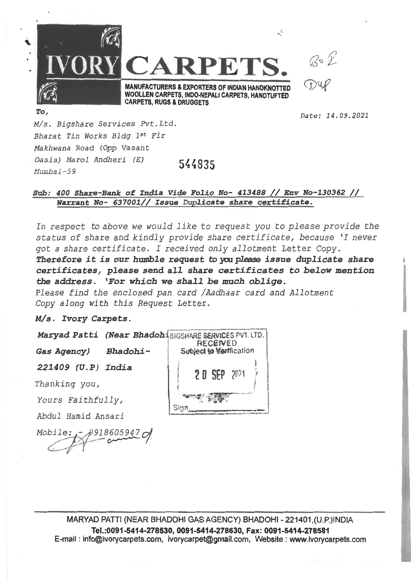

Date: 14.09.2021

M/s. Bigshare Services Pvt. Ltd. Bharat Tin Works Bldg 1st Fir Makhwana Road (Opp Vasant Oasis) Marol Andheri (E) Alumbal-59 **544835** 

# **Sub: 400 Share-Bank of India Vide Folio No- 413488 // Env No-130362 // Warrant No- 637001// Issue Duplicate share certificate.**

In respect to above we would like to request you to please provide the *status of share and kindly provide share certificate, because 'I never got a share certificate. I received only allotment Letter Copy.*  **Therefore it** *is* **our** *humble request* **to you please** *issue duplicate share certificates, please send all share certificates to below mention the address. 'For which we shall be much oblige.* 

*Please find the enclosed pan card /Aadhaar card and Allotment Copy along with this Request Letter.* 

*Ws. Ivory Carpets.* 

*Maryad Patti (Near Bhadoh BIGSHARE SERVICES PVT. LTD.* 

*Gas Agency) Bhadohi-*

*221409 (U.P) India* 

*Thanking you,* 

*Yours Faithfully,* 

*Abdul Hamid Ansari* 

*Mobile: - 918605947* 



**MARYAD PATTI (NEAR BHADOHI GAS AGENCY) BHADOHI - 221401 ,(U.P.)INDIA Tel.:0091-6414-278530, 0091-5414-278630, Fax: 0091-5414-278581 E-mail : info@ivorycarpets.com, ivotycarpet@gmall.com, Website : www.ivorycarpets.com**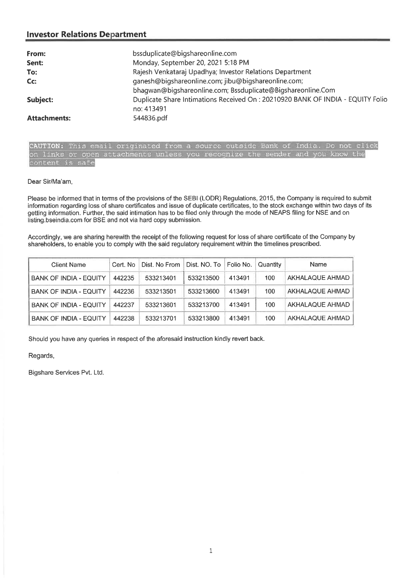| From:               | bssduplicate@bigshareonline.com                                                 |
|---------------------|---------------------------------------------------------------------------------|
| Sent:               | Monday, September 20, 2021 5:18 PM                                              |
| To:                 | Rajesh Venkataraj Upadhya; Investor Relations Department                        |
| Cc:                 | ganesh@bigshareonline.com; jibu@bigshareonline.com;                             |
|                     | bhagwan@bigshareonline.com; Bssduplicate@Bigshareonline.Com                     |
| Subject:            | Duplicate Share Intimations Received On : 20210920 BANK OF INDIA - EQUITY Folio |
|                     | no: 413491                                                                      |
| <b>Attachments:</b> | 544836.pdf                                                                      |

ginated from a source outside Bank of India. Do not on links or open attachments unless you recognize the sender and you know the content is safe

#### Dear Sir/Ma'am,

Please be informed that in terms of the provisions of the SEBI (LODR) Regulations, 2015, the Company is required to submit information regarding loss of share certificates and issue of duplicate certificates, to the stock exchange within two days of its getting information. Further, the said intimation has to be filed only through the mode of NEAPS filing for NSE and on listing.bseindia.com for BSE and not via hard copy submission.

Accordingly, we are sharing herewith the receipt of the following request for loss of share certificate of the Company by shareholders, to enable you to comply with the said regulatory requirement within the timelines prescribed.

| <b>Client Name</b>            | Cert No | Dist. No From | Dist. NO. To Folio No. |        | Quantity | Name                   |
|-------------------------------|---------|---------------|------------------------|--------|----------|------------------------|
| <b>BANK OF INDIA - EQUITY</b> | 442235  | 533213401     | 533213500              | 413491 | 100      | AKHALAQUE AHMAD        |
| <b>BANK OF INDIA - EQUITY</b> | 442236  | 533213501     | 533213600              | 413491 | 100      | <b>AKHALAQUE AHMAD</b> |
| <b>BANK OF INDIA - EQUITY</b> | 442237  | 533213601     | 533213700              | 413491 | 100      | AKHALAQUE AHMAD        |
| <b>BANK OF INDIA - EQUITY</b> | 442238  | 533213701     | 533213800              | 413491 | 100      | AKHALAQUE AHMAD        |

Should you have any queries in respect of the aforesaid instruction kindly revert back.

Regards,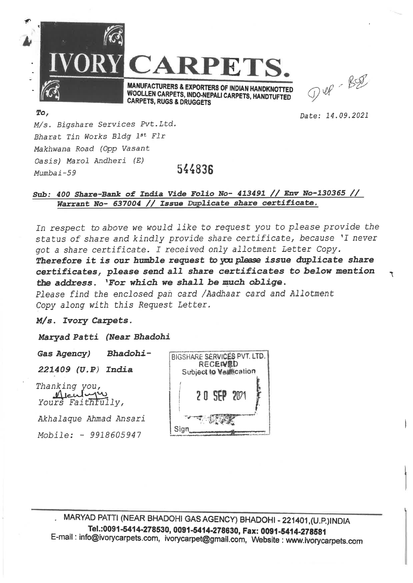

 $D48 - B28$ 

**Date:** 14.09.2021

÷,

M/s. Bigshare Services Pvt.Ltd. Bharat Tin Works Bldg 1st Fir Makhwana Road *(Opp* Vasant Oasis) Marol Andheri (E) **Mumbai-59** 544836

# **Sub: 400 Share-Bank of India Vide Folio No- 413491 // Env No-130365 // Warrant No- 637004 // Issue Duplicate share certificate.**

In respect to above we would like to request you to please provide the *status of share and kindly provide share certificate, because 'I never got a share certificate. I received only allotment Letter Copy. Therefore it is our humble request* **to you** *please issue duplicate share certificates, please send all share certificates to below mention the address. 'For which we shall be much oblige. Please find the enclosed pan card /Aadhaar card and Allotment Copy along with this Request Letter.* 

*14/s. Ivory Carpets.* 

*Maryad* **Patti** *(Near Bhadohi* 

*Gas Agency) Bhadohi-*

*221409 (U.P) India* 

*Thanking ou, Yours Faithfully,* 

*Akhalaque Ahmad Ansari Mobile: - 9918605947* 



**MARYAD PATTI (NEAR BHADOHI GAS AGENCY) BHADOHI 221401,(U.P.)INDIA Tel.:0091-5414-278530, 0091-5414-278630, Fax: 0091-5414-278581 E-mail : info©ivorycarpets.com, ivorycarpet©gmail.com, Website : www.ivorycarpets.com**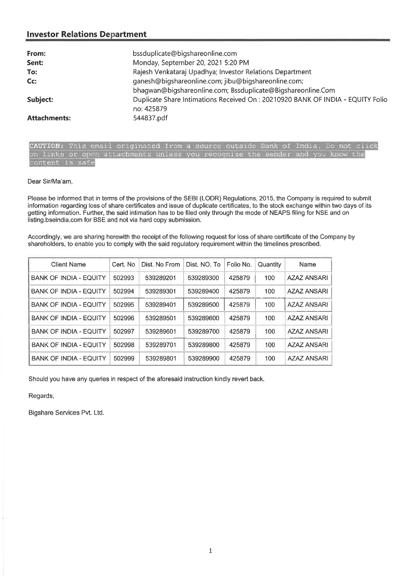| From:               | bssduplicate@bigshareonline.com                                                               |
|---------------------|-----------------------------------------------------------------------------------------------|
| Sent:               | Monday, September 20, 2021 5:20 PM                                                            |
| To:                 | Rajesh Venkataraj Upadhya; Investor Relations Department                                      |
| Cc:                 | ganesh@bigshareonline.com; jibu@bigshareonline.com;                                           |
|                     | bhagwan@bigshareonline.com; Bssduplicate@Bigshareonline.Com                                   |
| Subject:            | Duplicate Share Intimations Received On : 20210920 BANK OF INDIA - EQUITY Folio<br>no: 425879 |
| <b>Attachments:</b> | 544837.pdf                                                                                    |

CAUTION: This email originated from a source outside Bank of India. Do not click on links or open attachments unless you recognize the sender and you know the content is safe

#### Dear Sir/Ma'am,

Please be informed that in terms of the provisions of the SEBI (LODR) Regulations, 2015, the Company is required to submit information regarding loss of share certificates and issue of duplicate certificates, to the stock exchange within two days of its getting information. Further, the said intimation has to be filed only through the mode of NEAPS filing for NSE and on Iisting.bseindia.com for BSE and not via hard copy submission.

Accordingly, we are sharing herewith the receipt of the following request for loss of share certificate of the Company by shareholders, to enable you to comply with the said regulatory requirement within the timelines prescribed.

| <b>Client Name</b>            | Cert. No | Dist. No From | Dist. NO. To | Folio No. | Quantity | Name               |
|-------------------------------|----------|---------------|--------------|-----------|----------|--------------------|
| <b>BANK OF INDIA - EQUITY</b> | 502993   | 539289201     | 539289300    | 425879    | 100      | <b>AZAZ ANSARI</b> |
| <b>BANK OF INDIA - EQUITY</b> | 502994   | 539289301     | 539289400    | 425879    | 100      | <b>AZAZ ANSARI</b> |
| <b>BANK OF INDIA - EQUITY</b> | 502995   | 539289401     | 539289500    | 425879    | 100      | <b>AZAZ ANSARI</b> |
| <b>BANK OF INDIA - EQUITY</b> | 502996   | 539289501     | 539289600    | 425879    | 100      | <b>AZAZ ANSARI</b> |
| <b>BANK OF INDIA - EQUITY</b> | 502997   | 539289601     | 539289700    | 425879    | 100      | <b>AZAZ ANSARI</b> |
| <b>BANK OF INDIA - EQUITY</b> | 502998   | 539289701     | 539289800    | 425879    | 100      | <b>AZAZ ANSARI</b> |
| <b>BANK OF INDIA - EQUITY</b> | 502999   | 539289801     | 539289900    | 425879    | 100      | AZAZ ANSARI        |

Should you have any queries in respect of the aforesaid instruction kindly revert back.

Regards,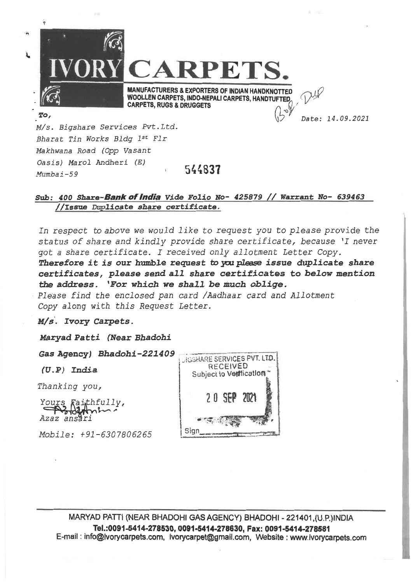

# Sub: 400 Share-**Bank of India** Vide Folio No- 425879 // Warrant No- 639463 *//issue* **Duplicate share certificate.**

In respect to above we would like to request you to please provide the *status of share and kindly provide share certificate, because 'I never got a share certificate. I received only allotment Letter Copy.* 

Therefore it is our humble request to you please issue duplicate share *certificates, please send all share certificates to below mention the address. 'For which we shall be much oblige.* 

*Please find the enclosed pan card /Aadhaar card and Allotment Copy along with this Request Letter.* 

*Ivory Carpets.* 

Maryad Patti *(Near Bhadohi* 

(U. P) India

*Thanking you,* 

**<sup>11</sup>4,'** *Azaz ans ri Yours* ai *thfully,* 

*Mobile: +91-6307806265* 



MARYAD PATTI (NEAR BHADOHI GAS AGENCY) BHADOHI 221401,(U.P,)INDIA **Tel.:0091-5414-278530, 0091-5414-278630, Fax: 0091-5414-278581**  E-mail : info@lvorycarpets.com, ivorycarpet@gmail.com, Website : www.ivorycarpets.com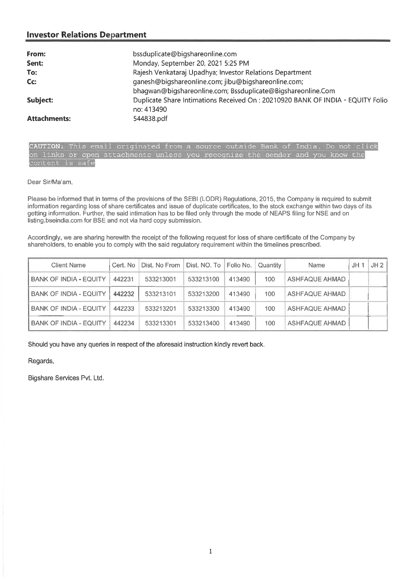| From:               | bssduplicate@bigshareonline.com                                                |
|---------------------|--------------------------------------------------------------------------------|
| Sent:               | Monday, September 20, 2021 5:25 PM                                             |
| To:                 | Rajesh Venkataraj Upadhya; Investor Relations Department                       |
| $Cc$ :              | ganesh@bigshareonline.com; jibu@bigshareonline.com;                            |
|                     | bhagwan@bigshareonline.com; Bssduplicate@Bigshareonline.Com                    |
| Subject:            | Duplicate Share Intimations Received On: 20210920 BANK OF INDIA - EQUITY Folio |
|                     | no: 413490                                                                     |
| <b>Attachments:</b> | 544838.pdf                                                                     |

CAUTION: This email originated from a source outside Bank of India. Do not click on links or open attachments unless you recognize the sender and you know the content is safe

Dear Sir/Ma'am,

Please be informed that in terms of the provisions of the SEBI (LODR) Regulations, 2015, the Company is required to submit information regarding loss of share certificates and issue of duplicate certificates, to the stock exchange within two days of its getting information. Further, the said intimation has to be filed only through the mode of NEAPS filing for NSE and on listing.bseindia.com for BSE and not via hard copy submission.

Accordingly, we are sharing herewith the receipt of the following request for loss of share certificate of the Company by shareholders, to enable you to comply with the said regulatory requirement within the timelines prescribed.

| <b>Client Name</b>            | Cert. No | Dist. No From | Dist. NO. To | Folio No. | Quantity | Name                  | UH 1 | JH <sub>2</sub> |
|-------------------------------|----------|---------------|--------------|-----------|----------|-----------------------|------|-----------------|
| <b>BANK OF INDIA - EQUITY</b> | 442231   | 533213001     | 533213100    | 413490    | 100      | <b>ASHFAQUE AHMAD</b> |      |                 |
| <b>BANK OF INDIA - EQUITY</b> | 442232   | 533213101     | 533213200    | 413490    | 100      | ASHFAQUE AHMAD        |      |                 |
| <b>BANK OF INDIA - EQUITY</b> | 442233   | 533213201     | 533213300    | 413490    | 100      | <b>ASHFAQUE AHMAD</b> |      |                 |
| <b>BANK OF INDIA - EQUITY</b> | 442234   | 533213301     | 533213400    | 413490    | 100      | ASHFAQUE AHMAD        |      |                 |

Should you have any queries in respect of the aforesaid instruction kindly revert back.

Regards,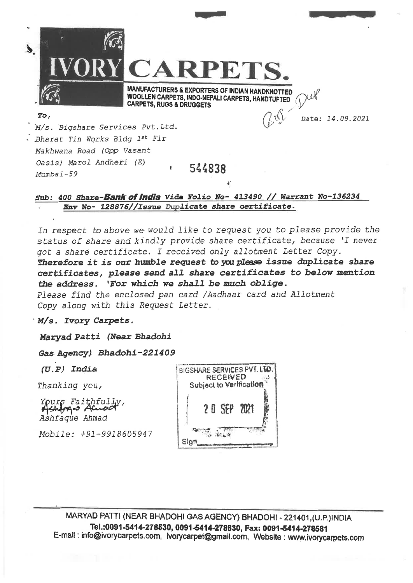$\widehat{\mathbb{C}}$ **IVORY**  Date: *14.09.2021*  **CARPETS. MANUFACTURERS & EXPORTERS OF INDIAN HANDKNOTTED WOOLLEN CARPETS, INDO-NEPALI CARPETS, HANDTUFTED CARPETS, RUGS & DRUGGETS To, 'M/s** *Bigshare Services Pvt.Ltd. Bharat Tin Works Bldg 1st Fir Makhwana Road (Opp Vasant Oasis) Marol Andheri (E)*  **54** Mumba i -59 <sup>e</sup>**4838** 

# Sub: 400 Share-**Bank of India** Vide Folio No- 413490 // Warrant No-136234 *Env No- 128876//Issue Duplicate share certificate.*

In respect to above we would like to request you to please provide the *status of share and kindly provide share certificate, because 'I never got a share certificate. I received only allotment Letter Copy.* 

*Therefore it is our humble request to you please issue duplicate share certificates, please send all share certificates to below mention the address. 'For which we shall be much oblige.* 

*Please find the enclosed pan card /Aadhaar card and Allotment Copy along with this Request Letter.* 

*M/s. Ivory carpets.* 

*Maryad Patti (Near Bhadohi* 

*Gas Agency) Bhadohi-221409* 

N

*Yours* Fa: *Ashfaque Ahmad* 

*Mobile: +91-9918605947* 



MARYAD PATTI (NEAR BHADOHI GAS AGENCY) BHADOHI 221401,(U.P.)INDIA Tel.:0091-5414-278530, 0091-5414-278630, Fax: 0091-5414-278581 E-mail : info@ivorycarpets.com, ivorycarpet@gmailcom, Website : www.ivorycarpets.com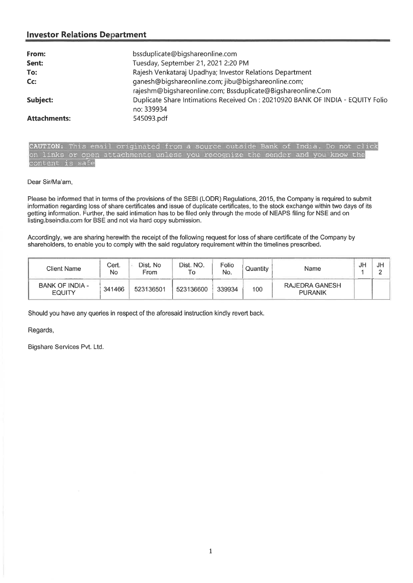| From:               | bssduplicate@bigshareonline.com                                                |
|---------------------|--------------------------------------------------------------------------------|
| Sent:               | Tuesday, September 21, 2021 2:20 PM                                            |
| To:                 | Rajesh Venkataraj Upadhya; Investor Relations Department                       |
| $Cc$ :              | ganesh@bigshareonline.com; jibu@bigshareonline.com;                            |
|                     | rajeshm@biqshareonline.com; Bssduplicate@Bigshareonline.Com                    |
| Subject:            | Duplicate Share Intimations Received On: 20210920 BANK OF INDIA - EQUITY Folio |
|                     | no: 339934                                                                     |
| <b>Attachments:</b> | 545093.pdf                                                                     |

CAUTION: This email originated from a source outside Bank of India. Do not click on links or open attachments unless you recognize the sender and you know the content is safe

#### Dear Sir/Ma'am,

Please be informed that in terms of the provisions of the SEBI (LODR) Regulations, 2015, the Company is required to submit information regarding loss of share certificates and issue of duplicate certificates, to the stock exchange within two days of its getting information. Further, the said intimation has to be filed only through the mode of NEAPS filing for NSE and on listing.bseindia.com for BSE and not via hard copy submission.

Accordingly, we are sharing herewith the receipt of the following request for loss of share certificate of the Company by shareholders, to enable you to comply with the said regulatory requirement within the timelines prescribed.

| Client Name                             | Cert.<br>No | Dist. No<br>From | Dist. NO.<br>١o | Folio<br>No. | Quantity | Name                             | JF | JF |
|-----------------------------------------|-------------|------------------|-----------------|--------------|----------|----------------------------------|----|----|
| <b>BANK OF INDIA -</b><br><b>EQUITY</b> | 341466      | 523136501        | 523136600       | 339934       | 100      | RAJEDRA GANESH<br><b>PURANIK</b> |    |    |

Should you have any queries in respect of the aforesaid instruction kindly revert back.

Regards,